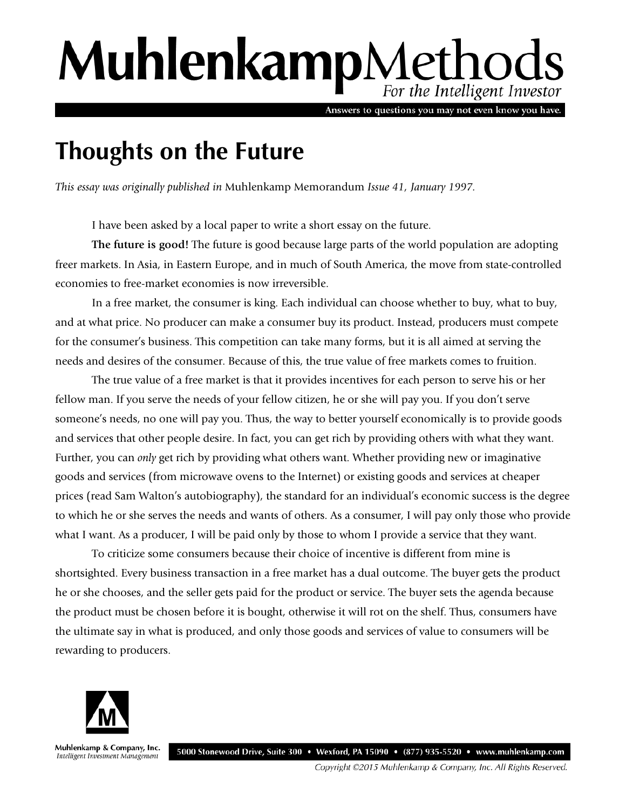## MuhlenkampMethods For the Intelligent Investor

Answers to questions you may not even know you have.

## **Thoughts on the Future**

*This essay was originally published in* Muhlenkamp Memorandum *Issue 41, January 1997.* 

I have been asked by a local paper to write a short essay on the future.

**The future is good!** The future is good because large parts of the world population are adopting freer markets. In Asia, in Eastern Europe, and in much of South America, the move from state-controlled economies to free-market economies is now irreversible.

In a free market, the consumer is king. Each individual can choose whether to buy, what to buy, and at what price. No producer can make a consumer buy its product. Instead, producers must compete for the consumer's business. This competition can take many forms, but it is all aimed at serving the needs and desires of the consumer. Because of this, the true value of free markets comes to fruition.

The true value of a free market is that it provides incentives for each person to serve his or her fellow man. If you serve the needs of your fellow citizen, he or she will pay you. If you don't serve someone's needs, no one will pay you. Thus, the way to better yourself economically is to provide goods and services that other people desire. In fact, you can get rich by providing others with what they want. Further, you can *only* get rich by providing what others want. Whether providing new or imaginative goods and services (from microwave ovens to the Internet) or existing goods and services at cheaper prices (read Sam Walton's autobiography), the standard for an individual's economic success is the degree to which he or she serves the needs and wants of others. As a consumer, I will pay only those who provide what I want. As a producer, I will be paid only by those to whom I provide a service that they want.

To criticize some consumers because their choice of incentive is different from mine is shortsighted. Every business transaction in a free market has a dual outcome. The buyer gets the product he or she chooses, and the seller gets paid for the product or service. The buyer sets the agenda because the product must be chosen before it is bought, otherwise it will rot on the shelf. Thus, consumers have the ultimate say in what is produced, and only those goods and services of value to consumers will be rewarding to producers.



Muhlenkamp & Company, Inc. Intelligent Investment Management

5000 Stonewood Drive, Suite 300 • Wexford, PA 15090 • (877) 935-5520 • www.muhlenkamp.com

Copyright ©2015 Muhlenkamp & Company, Inc. All Rights Reserved.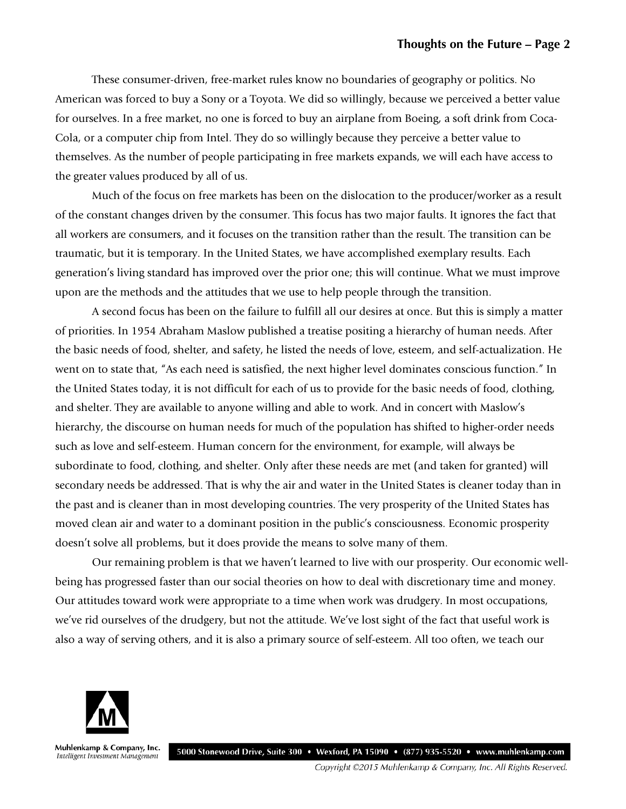These consumer-driven, free-market rules know no boundaries of geography or politics. No American was forced to buy a Sony or a Toyota. We did so willingly, because we perceived a better value for ourselves. In a free market, no one is forced to buy an airplane from Boeing, a soft drink from Coca-Cola, or a computer chip from Intel. They do so willingly because they perceive a better value to themselves. As the number of people participating in free markets expands, we will each have access to the greater values produced by all of us.

Much of the focus on free markets has been on the dislocation to the producer/worker as a result of the constant changes driven by the consumer. This focus has two major faults. It ignores the fact that all workers are consumers, and it focuses on the transition rather than the result. The transition can be traumatic, but it is temporary. In the United States, we have accomplished exemplary results. Each generation's living standard has improved over the prior one; this will continue. What we must improve upon are the methods and the attitudes that we use to help people through the transition.

A second focus has been on the failure to fulfill all our desires at once. But this is simply a matter of priorities. In 1954 Abraham Maslow published a treatise positing a hierarchy of human needs. After the basic needs of food, shelter, and safety, he listed the needs of love, esteem, and self-actualization. He went on to state that, "As each need is satisfied, the next higher level dominates conscious function." In the United States today, it is not difficult for each of us to provide for the basic needs of food, clothing, and shelter. They are available to anyone willing and able to work. And in concert with Maslow's hierarchy, the discourse on human needs for much of the population has shifted to higher-order needs such as love and self-esteem. Human concern for the environment, for example, will always be subordinate to food, clothing, and shelter. Only after these needs are met (and taken for granted) will secondary needs be addressed. That is why the air and water in the United States is cleaner today than in the past and is cleaner than in most developing countries. The very prosperity of the United States has moved clean air and water to a dominant position in the public's consciousness. Economic prosperity doesn't solve all problems, but it does provide the means to solve many of them.

Our remaining problem is that we haven't learned to live with our prosperity. Our economic wellbeing has progressed faster than our social theories on how to deal with discretionary time and money. Our attitudes toward work were appropriate to a time when work was drudgery. In most occupations, we've rid ourselves of the drudgery, but not the attitude. We've lost sight of the fact that useful work is also a way of serving others, and it is also a primary source of self-esteem. All too often, we teach our



Muhlenkamp & Company, Inc. 5000 Stonewood Drive, Suite 300 • Wexford, PA 15090 • (877) 935-5520 • www.muhlenkamp.com Intelligent Investment Management

Copyright ©2015 Muhlenkamp & Company, Inc. All Rights Reserved.